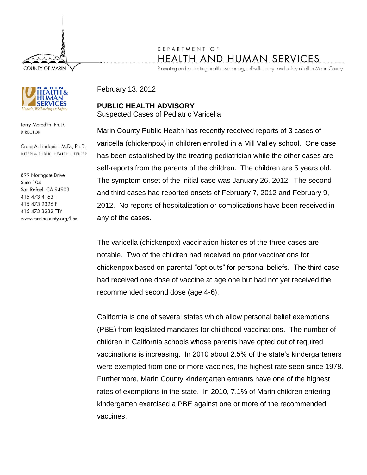**COUNTY OF MARIN** 



Larry Meredith, Ph.D. **DIRECTOR** 

Craig A. Lindquist, M.D., Ph.D. INTERIM PUBLIC HEALTH OFFICER

899 Northgate Drive Suite 104 San Rafael, CA 94903 415 473 4163 T 415 473 2326 F 415 473 3232 TTY www.marincounty.org/hhs

## DEPARTMENT OF **HEALTH AND HUMAN SERVICES**

Promoting and protecting health, well-being, self-sufficiency, and safety of all in Marin County.

February 13, 2012

**PUBLIC HEALTH ADVISORY** Suspected Cases of Pediatric Varicella

Marin County Public Health has recently received reports of 3 cases of varicella (chickenpox) in children enrolled in a Mill Valley school. One case has been established by the treating pediatrician while the other cases are self-reports from the parents of the children. The children are 5 years old. The symptom onset of the initial case was January 26, 2012. The second and third cases had reported onsets of February 7, 2012 and February 9, 2012. No reports of hospitalization or complications have been received in any of the cases.

The varicella (chickenpox) vaccination histories of the three cases are notable. Two of the children had received no prior vaccinations for chickenpox based on parental "opt outs" for personal beliefs. The third case had received one dose of vaccine at age one but had not yet received the recommended second dose (age 4-6).

California is one of several states which allow personal belief exemptions (PBE) from legislated mandates for childhood vaccinations. The number of children in California schools whose parents have opted out of required vaccinations is increasing. In 2010 about 2.5% of the state's kindergarteners were exempted from one or more vaccines, the highest rate seen since 1978. Furthermore, Marin County kindergarten entrants have one of the highest rates of exemptions in the state. In 2010, 7.1% of Marin children entering kindergarten exercised a PBE against one or more of the recommended vaccines.